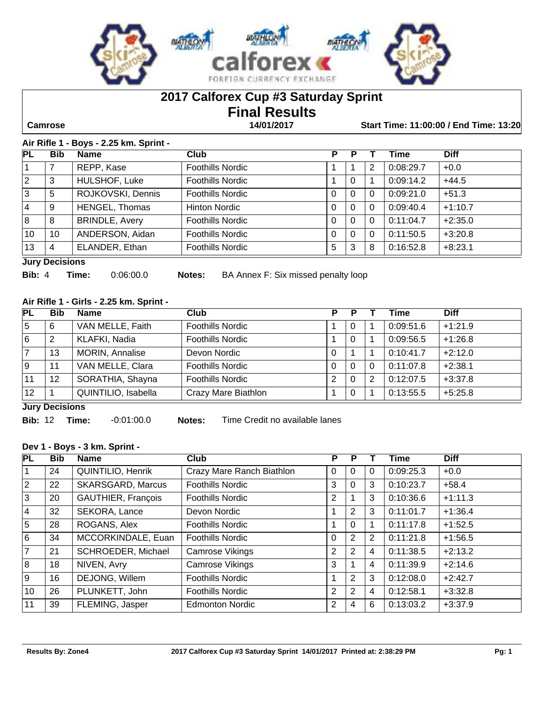

# **2017 Calforex Cup #3 Saturday Sprint**

# **Final Results**

 **Camrose 14/01/2017 Start Time: 11:00:00 / End Time: 13:20**

#### **Air Rifle 1 - Boys - 2.25 km. Sprint -**

| <b>PL</b> | <b>Bib</b>            | <b>Name</b>           | Club                    | Р        | Р        |   | Time      | <b>Diff</b> |  |
|-----------|-----------------------|-----------------------|-------------------------|----------|----------|---|-----------|-------------|--|
|           |                       | REPP, Kase            | <b>Foothills Nordic</b> |          |          | 2 | 0:08:29.7 | $+0.0$      |  |
| 2         | 3                     | HULSHOF, Luke         | <b>Foothills Nordic</b> |          | 0        |   | 0:09:14.2 | $+44.5$     |  |
| 3         | 5                     | ROJKOVSKI, Dennis     | <b>Foothills Nordic</b> | 0        | 0        | 0 | 0:09:21.0 | $+51.3$     |  |
| 4         | 9                     | <b>HENGEL, Thomas</b> | Hinton Nordic           | 0        | 0        | 0 | 0:09:40.4 | $+1:10.7$   |  |
| 8         | 8                     | <b>BRINDLE, Avery</b> | <b>Foothills Nordic</b> | $\Omega$ | $\Omega$ | 0 | 0:11:04.7 | $+2:35.0$   |  |
| 10        | 10                    | ANDERSON, Aidan       | <b>Foothills Nordic</b> | 0        | $\Omega$ | 0 | 0:11:50.5 | $+3:20.8$   |  |
| 13        | 4                     | ELANDER, Ethan        | <b>Foothills Nordic</b> | 5        | 3        | 8 | 0:16:52.8 | $+8:23.1$   |  |
|           | <b>Jury Decisions</b> |                       |                         |          |          |   |           |             |  |

**Bib:** 4 **Time:** 0:06:00.0 **Notes:** BA Annex F: Six missed penalty loop

#### **Air Rifle 1 - Girls - 2.25 km. Sprint -**

| PL  | <b>Bib</b>            | <b>Name</b>         | Club                    | P        | Р |   | Time      | <b>Diff</b> |  |
|-----|-----------------------|---------------------|-------------------------|----------|---|---|-----------|-------------|--|
| 15  | 6                     | VAN MELLE, Faith    | <b>Foothills Nordic</b> |          | 0 |   | 0:09:51.6 | $+1:21.9$   |  |
| 16  | 2                     | KLAFKI, Nadia       | <b>Foothills Nordic</b> |          | 0 |   | 0:09:56.5 | $+1:26.8$   |  |
|     | 13                    | MORIN, Annalise     | Devon Nordic            | $\Omega$ |   |   | 0:10:41.7 | $+2:12.0$   |  |
| و ا | 11                    | VAN MELLE, Clara    | <b>Foothills Nordic</b> | 0        | 0 | 0 | 0:11:07.8 | $+2:38.1$   |  |
| 11  | 12                    | SORATHIA, Shayna    | <b>Foothills Nordic</b> | 2        | 0 | 2 | 0:12:07.5 | $+3:37.8$   |  |
| 12  |                       | QUINTILIO, Isabella | Crazy Mare Biathlon     |          | 0 |   | 0:13:55.5 | $+5:25.8$   |  |
|     | <b>Lury Decisions</b> |                     |                         |          |   |   |           |             |  |

**Jury Decisions**

**Bib:** 12 **Time:** -0:01:00.0 **Notes:** Time Credit no available lanes

#### **Dev 1 - Boys - 3 km. Sprint -**

| PL             | <b>Bib</b> | <b>Name</b>              | <b>Club</b>               | Р              | P              |   | Time      | <b>Diff</b> |
|----------------|------------|--------------------------|---------------------------|----------------|----------------|---|-----------|-------------|
| l 1            | 24         | QUINTILIO, Henrik        | Crazy Mare Ranch Biathlon | 0              | 0              | 0 | 0:09:25.3 | $+0.0$      |
| $ 2\rangle$    | 22         | <b>SKARSGARD, Marcus</b> | <b>Foothills Nordic</b>   | 3              | $\Omega$       | 3 | 0:10:23.7 | $+58.4$     |
| 3              | 20         | GAUTHIER, François       | <b>Foothills Nordic</b>   | 2              |                | 3 | 0:10:36.6 | $+1:11.3$   |
| <u> 4</u>      | 32         | SEKORA, Lance            | Devon Nordic              |                | $\overline{2}$ | 3 | 0:11:01.7 | $+1:36.4$   |
| $\overline{5}$ | 28         | ROGANS, Alex             | <b>Foothills Nordic</b>   |                | $\Omega$       |   | 0:11:17.8 | $+1:52.5$   |
| l6             | 34         | MCCORKINDALE, Euan       | <b>Foothills Nordic</b>   | 0              | 2              | 2 | 0:11:21.8 | $+1:56.5$   |
| 7              | 21         | SCHROEDER, Michael       | Camrose Vikings           | $\overline{2}$ | 2              | 4 | 0:11:38.5 | $+2:13.2$   |
| 8              | 18         | NIVEN, Avry              | Camrose Vikings           | 3              |                | 4 | 0:11:39.9 | $+2:14.6$   |
| l 9            | 16         | DEJONG, Willem           | <b>Foothills Nordic</b>   |                | $\overline{2}$ | 3 | 0:12:08.0 | $+2:42.7$   |
| 10             | 26         | PLUNKETT, John           | <b>Foothills Nordic</b>   | $\overline{2}$ | 2              | 4 | 0:12:58.1 | $+3:32.8$   |
| 11             | 39         | FLEMING, Jasper          | <b>Edmonton Nordic</b>    | 2              | 4              | 6 | 0:13:03.2 | $+3:37.9$   |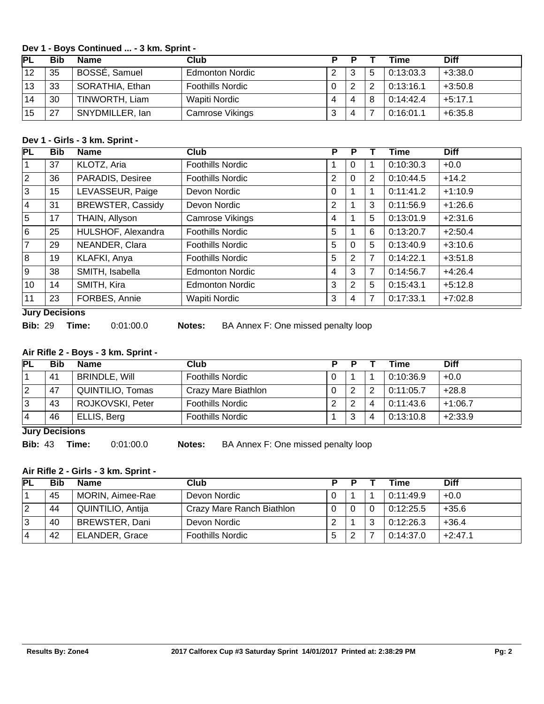#### **Dev 1 - Boys Continued ... - 3 km. Sprint -**

| PL | Bib | Name            | Club                    |   | P |   | Time      | <b>Diff</b> |
|----|-----|-----------------|-------------------------|---|---|---|-----------|-------------|
| 12 | 35  | BOSSÉ, Samuel   | <b>Edmonton Nordic</b>  |   | ? | 5 | 0:13:03.3 | $+3:38.0$   |
| 13 | 33  | SORATHIA, Ethan | <b>Foothills Nordic</b> |   | ◠ | っ | 0:13:16.1 | $+3:50.8$   |
| 14 | 30  | TINWORTH, Liam  | Wapiti Nordic           |   | 4 | 8 | 0:14:42.4 | $+5:17.1$   |
| 15 | 27  | SNYDMILLER, lan | Camrose Vikings         | J | 4 |   | 0:16:01.1 | $+6:35.8$   |

#### **Dev 1 - Girls - 3 km. Sprint -**

| <b>PL</b>      | <b>Bib</b> | <b>Name</b>              | Club                    | P              | Р              |                | Time      | <b>Diff</b> |
|----------------|------------|--------------------------|-------------------------|----------------|----------------|----------------|-----------|-------------|
|                | 37         | KLOTZ, Aria              | <b>Foothills Nordic</b> |                | 0              |                | 0:10:30.3 | $+0.0$      |
| 2              | 36         | PARADIS, Desiree         | <b>Foothills Nordic</b> | 2              | 0              | 2              | 0:10:44.5 | $+14.2$     |
| ΙЗ             | 15         | LEVASSEUR, Paige         | Devon Nordic            | 0              |                | 1              | 0:11:41.2 | $+1:10.9$   |
| <u> 4</u>      | 31         | <b>BREWSTER, Cassidy</b> | Devon Nordic            | $\overline{2}$ |                | 3              | 0:11:56.9 | $+1:26.6$   |
| 5              | 17         | THAIN, Allyson           | Camrose Vikings         | $\overline{4}$ |                | 5              | 0:13:01.9 | $+2:31.6$   |
| 6              | 25         | HULSHOF, Alexandra       | <b>Foothills Nordic</b> | 5              |                | 6              | 0:13:20.7 | $+2:50.4$   |
| $\overline{7}$ | 29         | NEANDER, Clara           | <b>Foothills Nordic</b> | 5              | 0              | 5              | 0:13:40.9 | $+3:10.6$   |
| 8              | 19         | KLAFKI, Anya             | <b>Foothills Nordic</b> | 5              | $\overline{2}$ | 7              | 0:14:22.1 | $+3:51.8$   |
| l 9            | 38         | SMITH, Isabella          | <b>Edmonton Nordic</b>  | 4              | 3              | $\overline{7}$ | 0:14:56.7 | $+4:26.4$   |
| 10             | 14         | SMITH, Kira              | <b>Edmonton Nordic</b>  | 3              | $\overline{2}$ | 5              | 0:15:43.1 | $+5:12.8$   |
| 11             | 23         | FORBES, Annie            | <b>Wapiti Nordic</b>    | 3              | 4              | 7              | 0:17:33.1 | $+7:02.8$   |

#### **Jury Decisions**

**Bib:** 29 **Time:** 0:01:00.0 **Notes:** BA Annex F: One missed penalty loop

#### **Air Rifle 2 - Boys - 3 km. Sprint -**

| PL | <b>Bib</b>            | <b>Name</b>          | <b>Club</b>             |  | D      |   | <b>Time</b> | <b>Diff</b> |  |
|----|-----------------------|----------------------|-------------------------|--|--------|---|-------------|-------------|--|
|    | 41                    | <b>BRINDLE, Will</b> | <b>Foothills Nordic</b> |  |        |   | 0:10:36.9   | $+0.0$      |  |
| 2  | 47                    | QUINTILIO, Tomas     | Crazy Mare Biathlon     |  | റ      | 2 | 0:11:05.7   | $+28.8$     |  |
| 3  | 43                    | ROJKOVSKI, Peter     | <b>Foothills Nordic</b> |  | റ<br>∠ | 4 | 0:11:43.6   | $+1:06.7$   |  |
| 14 | 46                    | ELLIS, Berg          | <b>Foothills Nordic</b> |  | 3      | 4 | 0:13:10.8   | $+2:33.9$   |  |
|    | <b>Luny Depicions</b> |                      |                         |  |        |   |             |             |  |

#### **Jury Decisions**

**Bib:** 43 **Time:** 0:01:00.0 **Notes:** BA Annex F: One missed penalty loop

#### **Air Rifle 2 - Girls - 3 km. Sprint -**

| PL | Bib | <b>Name</b>           | Club                      | D |   | Time      | <b>Diff</b> |
|----|-----|-----------------------|---------------------------|---|---|-----------|-------------|
|    | 45  | MORIN, Aimee-Rae      | Devon Nordic              |   |   | 0:11:49.9 | $+0.0$      |
|    | 44  | QUINTILIO, Antija     | Crazy Mare Ranch Biathlon |   |   | 0:12:25.5 | $+35.6$     |
|    | 40  | BREWSTER, Dani        | Devon Nordic              |   | 3 | 0:12:26.3 | $+36.4$     |
| 4  | 42  | <b>ELANDER, Grace</b> | <b>Foothills Nordic</b>   |   |   | 0:14:37.0 | $+2:47.1$   |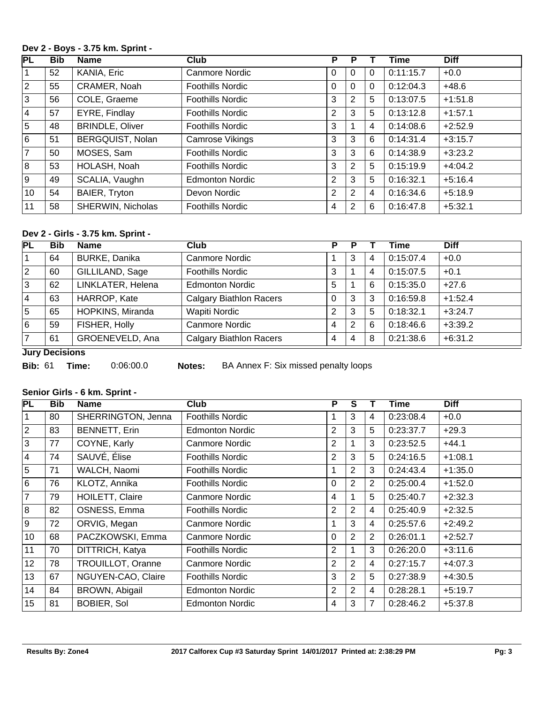#### **Dev 2 - Boys - 3.75 km. Sprint -**

| $\overline{\mathsf{PL}}$ | <b>Bib</b> | <b>Name</b>            | <b>Club</b>             | P | Р |          | Time      | <b>Diff</b> |
|--------------------------|------------|------------------------|-------------------------|---|---|----------|-----------|-------------|
| 1                        | 52         | KANIA, Eric            | Canmore Nordic          | 0 | 0 | $\Omega$ | 0:11:15.7 | $+0.0$      |
| $ 2\rangle$              | 55         | CRAMER, Noah           | <b>Foothills Nordic</b> | 0 | 0 | 0        | 0:12:04.3 | $+48.6$     |
| Ιз                       | 56         | COLE, Graeme           | <b>Foothills Nordic</b> | 3 | 2 | 5        | 0:13:07.5 | $+1:51.8$   |
| <u> 4</u>                | 57         | EYRE, Findlay          | <b>Foothills Nordic</b> | 2 | 3 | 5        | 0:13:12.8 | $+1:57.1$   |
| 5                        | 48         | <b>BRINDLE, Oliver</b> | <b>Foothills Nordic</b> | 3 |   | 4        | 0:14:08.6 | $+2:52.9$   |
| l 6                      | 51         | BERGQUIST, Nolan       | Camrose Vikings         | 3 | 3 | 6        | 0:14:31.4 | $+3:15.7$   |
| 17                       | 50         | MOSES, Sam             | <b>Foothills Nordic</b> | 3 | 3 | 6        | 0:14:38.9 | $+3:23.2$   |
| 8                        | 53         | HOLASH, Noah           | <b>Foothills Nordic</b> | 3 | 2 | 5        | 0:15:19.9 | $+4:04.2$   |
| 9                        | 49         | SCALIA, Vaughn         | <b>Edmonton Nordic</b>  | 2 | 3 | 5        | 0:16:32.1 | $+5:16.4$   |
| 10                       | 54         | BAIER, Tryton          | Devon Nordic            | 2 | 2 | 4        | 0:16:34.6 | $+5:18.9$   |
| 11                       | 58         | SHERWIN, Nicholas      | <b>Foothills Nordic</b> | 4 | 2 | 6        | 0:16:47.8 | $+5:32.1$   |

#### **Dev 2 - Girls - 3.75 km. Sprint -**

| PL              | <b>Bib</b> | <b>Name</b>          | <b>Club</b>                    | P              |    |                | <b>Time</b> | <b>Diff</b> |
|-----------------|------------|----------------------|--------------------------------|----------------|----|----------------|-------------|-------------|
|                 | 64         | <b>BURKE, Danika</b> | Canmore Nordic                 |                | 3  | $\overline{4}$ | 0:15:07.4   | $+0.0$      |
| $\vert 2 \vert$ | 60         | GILLILAND, Sage      | <b>Foothills Nordic</b>        | 3              |    | $\overline{4}$ | 0:15:07.5   | $+0.1$      |
| 3               | 62         | LINKLATER, Helena    | <b>Edmonton Nordic</b>         | 5              |    | 6              | 0:15:35.0   | $+27.6$     |
| 4               | 63         | HARROP, Kate         | <b>Calgary Biathlon Racers</b> | 0              | 3  | 3              | 0:16:59.8   | $+1:52.4$   |
| 5               | 65         | HOPKINS, Miranda     | <b>Wapiti Nordic</b>           | 2              | 3  | 5              | 0:18:32.1   | $+3:24.7$   |
| 6               | 59         | FISHER, Holly        | Canmore Nordic                 | 4              | -2 | 6              | 0:18:46.6   | $+3:39.2$   |
| $\overline{7}$  | 61         | GROENEVELD, Ana      | <b>Calgary Biathlon Racers</b> | $\overline{4}$ | 4  | 8              | 0:21:38.6   | $+6:31.2$   |

**Jury Decisions**

**Bib:** 61 **Time:** 0:06:00.0 **Notes:** BA Annex F: Six missed penalty loops

#### **Senior Girls - 6 km. Sprint -**

| PL           | <b>Bib</b> | <b>Name</b>        | <b>Club</b>             | P              | $\overline{\mathsf{s}}$ |                | Time      | <b>Diff</b> |
|--------------|------------|--------------------|-------------------------|----------------|-------------------------|----------------|-----------|-------------|
| $\mathbf{1}$ | 80         | SHERRINGTON, Jenna | <b>Foothills Nordic</b> | 1              | 3                       | 4              | 0:23:08.4 | $+0.0$      |
| $ 2\rangle$  | 83         | BENNETT, Erin      | <b>Edmonton Nordic</b>  | $\overline{2}$ | 3                       | 5              | 0:23:37.7 | $+29.3$     |
| !ვ           | 77         | COYNE, Karly       | Canmore Nordic          | 2              |                         | 3              | 0:23:52.5 | $+44.1$     |
| 4            | 74         | SAUVÉ, Élise       | <b>Foothills Nordic</b> | 2              | 3                       | 5              | 0:24:16.5 | $+1:08.1$   |
| 5            | 71         | WALCH, Naomi       | <b>Foothills Nordic</b> |                | $\overline{2}$          | 3              | 0:24:43.4 | $+1:35.0$   |
| 6            | 76         | KLOTZ, Annika      | <b>Foothills Nordic</b> | $\Omega$       | $\overline{2}$          | 2              | 0:25:00.4 | $+1:52.0$   |
| 7            | 79         | HOILETT, Claire    | Canmore Nordic          | 4              |                         | 5              | 0:25:40.7 | $+2:32.3$   |
| 8            | 82         | OSNESS, Emma       | <b>Foothills Nordic</b> | 2              | $\overline{2}$          | 4              | 0:25:40.9 | $+2:32.5$   |
| 9            | 72         | ORVIG, Megan       | Canmore Nordic          | 1              | 3                       | 4              | 0:25:57.6 | $+2:49.2$   |
| 10           | 68         | PACZKOWSKI, Emma   | Canmore Nordic          | $\Omega$       | $\overline{2}$          | $\overline{2}$ | 0:26:01.1 | $+2:52.7$   |
| 11           | 70         | DITTRICH, Katya    | <b>Foothills Nordic</b> | 2              | 1                       | 3              | 0:26:20.0 | $+3:11.6$   |
| 12           | 78         | TROUILLOT, Oranne  | Canmore Nordic          | $\overline{2}$ | $\overline{2}$          | $\overline{4}$ | 0:27:15.7 | $+4:07.3$   |
| 13           | 67         | NGUYEN-CAO, Claire | <b>Foothills Nordic</b> | 3              | $\overline{2}$          | 5              | 0:27:38.9 | $+4:30.5$   |
| 14           | 84         | BROWN, Abigail     | <b>Edmonton Nordic</b>  | $\overline{2}$ | $\overline{2}$          | 4              | 0:28:28.1 | $+5:19.7$   |
| 15           | 81         | <b>BOBIER, Sol</b> | <b>Edmonton Nordic</b>  | 4              | 3                       | 7              | 0:28:46.2 | $+5:37.8$   |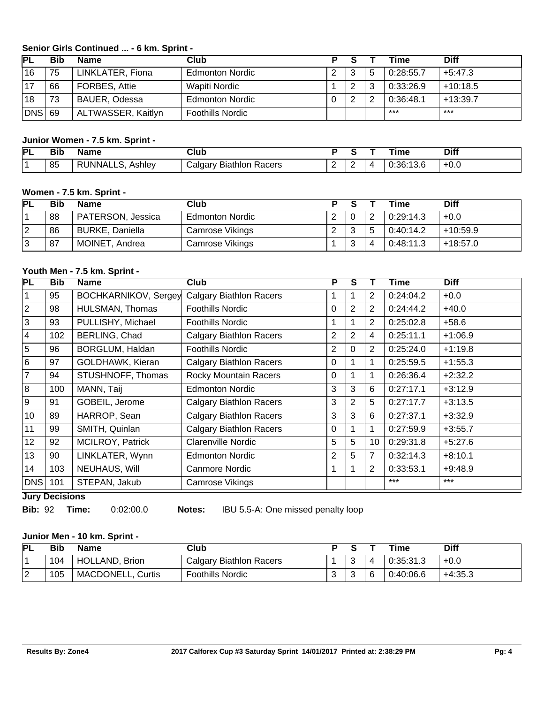#### **Senior Girls Continued ... - 6 km. Sprint -**

| IΡL    | Bib | Name               | Club                    |   |        |   | Time      | <b>Diff</b> |
|--------|-----|--------------------|-------------------------|---|--------|---|-----------|-------------|
| 16     | 75  | LINKLATER, Fiona   | <b>Edmonton Nordic</b>  | ົ | 3      | 5 | 0:28:55.7 | $+5:47.3$   |
|        | 66  | FORBES, Attie      | Wapiti Nordic           |   | ⌒      | 3 | 0:33:26.9 | $+10:18.5$  |
| 18     | 73  | BAUER, Odessa      | <b>Edmonton Nordic</b>  |   | າ<br>∠ | 2 | 0:36:48.1 | $+13:39.7$  |
| DNS 69 |     | ALTWASSER, Kaitlyn | <b>Foothills Nordic</b> |   |        |   | $***$     | $***$       |

#### **Junior Women - 7.5 km. Sprint -**

| PL | Bib | Name                  | Club                                   |   |          | ime           | Diff   |
|----|-----|-----------------------|----------------------------------------|---|----------|---------------|--------|
|    | 85  | ' RUNNALLS,<br>Ashlev | Racers<br>' algaryٽ<br><b>Biathlon</b> | - | <u>_</u> | 0:36:<br>ט.טו | $+0.0$ |

#### **Women - 7.5 km. Sprint -**

| <b>PL</b> | Bib | <b>Name</b>            | Club                   | D |        |   | Time      | <b>Diff</b> |
|-----------|-----|------------------------|------------------------|---|--------|---|-----------|-------------|
|           | 88  | PATERSON, Jessica      | <b>Edmonton Nordic</b> |   |        | 2 | 0:29:14.3 | $+0.0$      |
|           | 86  | <b>BURKE, Daniella</b> | Camrose Vikings        |   | າ      |   | 0:40:14.2 | +10:59.9    |
|           | 87  | MOINET, Andrea         | Camrose Vikings        |   | າ<br>J | 4 | 0:48:11.3 | +18:57.0    |

#### **Youth Men - 7.5 km. Sprint -**

| PL             | <b>Bib</b> | <b>Name</b>                 | Club                           | P              | S              |                | <b>Time</b> | <b>Diff</b> |
|----------------|------------|-----------------------------|--------------------------------|----------------|----------------|----------------|-------------|-------------|
| $\mathbf 1$    | 95         | <b>BOCHKARNIKOV, Sergey</b> | <b>Calgary Biathlon Racers</b> | 1              | 1              | 2              | 0:24:04.2   | $+0.0$      |
| $\overline{2}$ | 98         | HULSMAN, Thomas             | <b>Foothills Nordic</b>        | $\Omega$       | $\overline{2}$ | $\overline{2}$ | 0:24:44.2   | $+40.0$     |
| 3              | 93         | PULLISHY, Michael           | <b>Foothills Nordic</b>        | 1              | 1              | 2              | 0:25:02.8   | $+58.6$     |
| $\vert 4$      | 102        | BERLING, Chad               | <b>Calgary Biathlon Racers</b> | $\overline{2}$ | $\overline{2}$ | 4              | 0:25:11.1   | $+1:06.9$   |
| $\overline{5}$ | 96         | BORGLUM, Haldan             | <b>Foothills Nordic</b>        | 2              | $\Omega$       | 2              | 0:25:24.0   | $+1:19.8$   |
| $\overline{6}$ | 97         | GOLDHAWK, Kieran            | <b>Calgary Biathlon Racers</b> | 0              |                | 1              | 0:25:59.5   | $+1:55.3$   |
| $\overline{7}$ | 94         | STUSHNOFF, Thomas           | <b>Rocky Mountain Racers</b>   | $\Omega$       | 1              | 1              | 0:26:36.4   | $+2:32.2$   |
| 8              | 100        | MANN, Taij                  | <b>Edmonton Nordic</b>         | 3              | 3              | 6              | 0:27:17.1   | $+3:12.9$   |
| 9              | 91         | GOBEIL, Jerome              | <b>Calgary Biathlon Racers</b> | 3              | $\overline{2}$ | 5              | 0:27:17.7   | $+3:13.5$   |
| 10             | 89         | HARROP, Sean                | <b>Calgary Biathlon Racers</b> | 3              | 3              | 6              | 0:27:37.1   | $+3:32.9$   |
| 11             | 99         | SMITH, Quinlan              | <b>Calgary Biathlon Racers</b> | $\Omega$       | 1              | 1              | 0:27:59.9   | $+3:55.7$   |
| 12             | 92         | MCILROY, Patrick            | <b>Clarenville Nordic</b>      | 5              | 5              | 10             | 0:29:31.8   | $+5:27.6$   |
| 13             | 90         | LINKLATER, Wynn             | <b>Edmonton Nordic</b>         | 2              | 5              | 7              | 0:32:14.3   | $+8:10.1$   |
| 14             | 103        | NEUHAUS, Will               | Canmore Nordic                 | 1              |                | 2              | 0:33:53.1   | $+9:48.9$   |
| DNS            | 101        | STEPAN, Jakub               | Camrose Vikings                |                |                |                | $***$       | $***$       |

**Jury Decisions**

**Bib:** 92 **Time:** 0:02:00.0 **Notes:** IBU 5.5-A: One missed penalty loop

#### **Junior Men - 10 km. Sprint -**

| <b>PL</b> |     | <b>Name</b>              | Club                    |             |   | ™e        | <b>Diff</b> |
|-----------|-----|--------------------------|-------------------------|-------------|---|-----------|-------------|
|           | 104 | <b>HOLLAND, Brion</b>    | Calgary Biathlon Racers | ື           | 4 | 0:35:31.3 | $+0.0$      |
| $\sim$    | 105 | <b>MACDONELL, Curtis</b> | <b>Foothills Nordic</b> | $\sim$<br>ັ | 6 | 0:40:06.6 | $+4:35.3$   |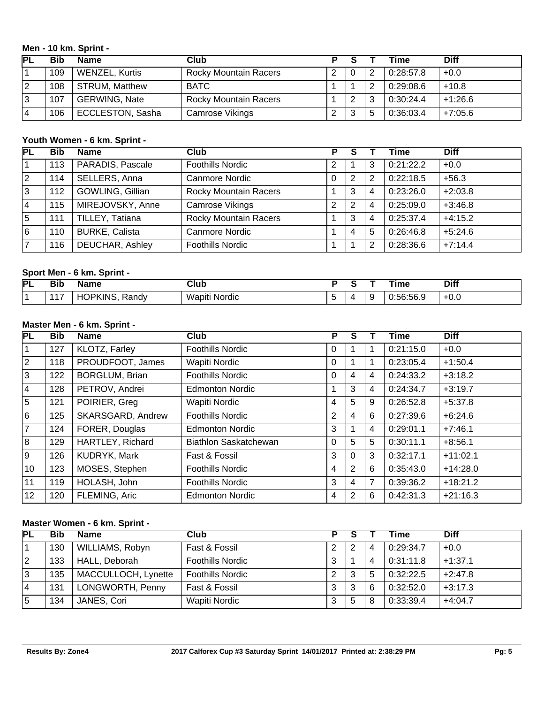#### **Men - 10 km. Sprint -**

| ГFL | <b>Bib</b> | <b>Name</b>             | Club                         |   |     |   | Time      | <b>Diff</b> |
|-----|------------|-------------------------|------------------------------|---|-----|---|-----------|-------------|
|     | 109        | <b>WENZEL, Kurtis</b>   | <b>Rocky Mountain Racers</b> | റ | - 0 | 2 | 0:28:57.8 | $+0.0$      |
| 12  | 108        | <b>STRUM, Matthew</b>   | <b>BATC</b>                  |   |     | 2 | 0:29:08.6 | $+10.8$     |
| 3   | 107        | <b>GERWING, Nate</b>    | <b>Rocky Mountain Racers</b> |   | ◠   | 3 | 0:30:24.4 | $+1:26.6$   |
| 14  | 106        | <b>ECCLESTON, Sasha</b> | Camrose Vikings              |   | 3   | 5 | 0:36:03.4 | $+7:05.6$   |

# **Youth Women - 6 km. Sprint -**

| PL          | <b>Bib</b> | <b>Name</b>           | Club                         | Р | S |   | Time      | <b>Diff</b> |
|-------------|------------|-----------------------|------------------------------|---|---|---|-----------|-------------|
| l 1         | 113        | PARADIS, Pascale      | <b>Foothills Nordic</b>      | 2 |   | 3 | 0:21:22.2 | $+0.0$      |
| $ 2\rangle$ | 114        | SELLERS, Anna         | Canmore Nordic               | 0 | 2 | 2 | 0:22:18.5 | $+56.3$     |
| ΙЗ          | 112        | GOWLING, Gillian      | <b>Rocky Mountain Racers</b> |   | 3 | 4 | 0:23:26.0 | $+2:03.8$   |
| 14          | 115        | MIREJOVSKY, Anne      | Camrose Vikings              | 2 | 2 | 4 | 0:25:09.0 | $+3:46.8$   |
| 15          | 111        | TILLEY, Tatiana       | <b>Rocky Mountain Racers</b> |   | 3 | 4 | 0:25:37.4 | $+4:15.2$   |
| 16          | 110        | <b>BURKE, Calista</b> | Canmore Nordic               |   | 4 | 5 | 0:26:46.8 | $+5:24.6$   |
| 17          | 116        | DEUCHAR, Ashley       | <b>Foothills Nordic</b>      |   |   | 2 | 0:28:36.6 | $+7:14.4$   |

# **Sport Men - 6 km. Sprint -**

| PL | n:1<br>ыı | Name                         | Jlub<br>____            |  | ----<br>ıme          | <b>Diff</b>    |
|----|-----------|------------------------------|-------------------------|--|----------------------|----------------|
|    | . .       | ∴ıNI⊆<br>Randv<br>ייטר.<br>- | Waniti<br>. .<br>Nordic |  | - -<br>J:56<br>.ວ໐.ະ | $\cap$<br>-u.u |

# **Master Men - 6 km. Sprint -**

| PL             | <b>Bib</b> | <b>Name</b>           | Club                    | P            | S        |   | <b>Time</b> | <b>Diff</b> |
|----------------|------------|-----------------------|-------------------------|--------------|----------|---|-------------|-------------|
| $\vert$ 1      | 127        | KLOTZ, Farley         | <b>Foothills Nordic</b> | $\mathbf{0}$ |          |   | 0:21:15.0   | $+0.0$      |
| $\overline{2}$ | 118        | PROUDFOOT, James      | Wapiti Nordic           | $\mathbf{0}$ |          | 1 | 0:23:05.4   | $+1:50.4$   |
| 3              | 122        | <b>BORGLUM, Brian</b> | <b>Foothills Nordic</b> | $\mathbf{0}$ | 4        | 4 | 0:24:33.2   | $+3:18.2$   |
| <u> 4</u>      | 128        | PETROV, Andrei        | <b>Edmonton Nordic</b>  |              | 3        | 4 | 0:24:34.7   | $+3:19.7$   |
| 5              | 121        | POIRIER, Greg         | Wapiti Nordic           | 4            | 5        | 9 | 0:26:52.8   | $+5:37.8$   |
| l 6            | 125        | SKARSGARD, Andrew     | <b>Foothills Nordic</b> | 2            | 4        | 6 | 0:27:39.6   | $+6:24.6$   |
| 7              | 124        | FORER, Douglas        | <b>Edmonton Nordic</b>  | 3            |          | 4 | 0:29:01.1   | $+7:46.1$   |
| 8              | 129        | HARTLEY, Richard      | Biathlon Saskatchewan   | $\mathbf{0}$ | 5        | 5 | 0:30:11.1   | $+8:56.1$   |
| 9              | 126        | KUDRYK, Mark          | Fast & Fossil           | 3            | $\Omega$ | 3 | 0:32:17.1   | $+11:02.1$  |
| 10             | 123        | MOSES, Stephen        | <b>Foothills Nordic</b> | 4            | 2        | 6 | 0:35:43.0   | $+14:28.0$  |
| 11             | 119        | HOLASH, John          | <b>Foothills Nordic</b> | 3            | 4        | 7 | 0:39:36.2   | $+18:21.2$  |
| 12             | 120        | FLEMING, Aric         | <b>Edmonton Nordic</b>  | 4            | 2        | 6 | 0:42:31.3   | $+21:16.3$  |

### **Master Women - 6 km. Sprint -**

| PL          | <b>Bib</b> | <b>Name</b>         | Club                    |         |   |   | Time      | <b>Diff</b> |
|-------------|------------|---------------------|-------------------------|---------|---|---|-----------|-------------|
|             | 130        | WILLIAMS, Robyn     | Fast & Fossil           | റ       | 2 | 4 | 0:29:34.7 | $+0.0$      |
| $ 2\rangle$ | 133        | HALL, Deborah       | <b>Foothills Nordic</b> | ົ<br>د۰ |   | 4 | 0:31:11.8 | $+1:37.1$   |
| 3           | 135        | MACCULLOCH, Lynette | <b>Foothills Nordic</b> | 2       | 3 | 5 | 0:32:22.5 | $+2:47.8$   |
| 14          | 131        | LONGWORTH, Penny    | Fast & Fossil           | 3       | 3 | 6 | 0:32:52.0 | $+3:17.3$   |
| 5           | 134        | JANES, Cori         | Wapiti Nordic           | ົ<br>C, | 5 | 8 | 0:33:39.4 | $+4:04.7$   |